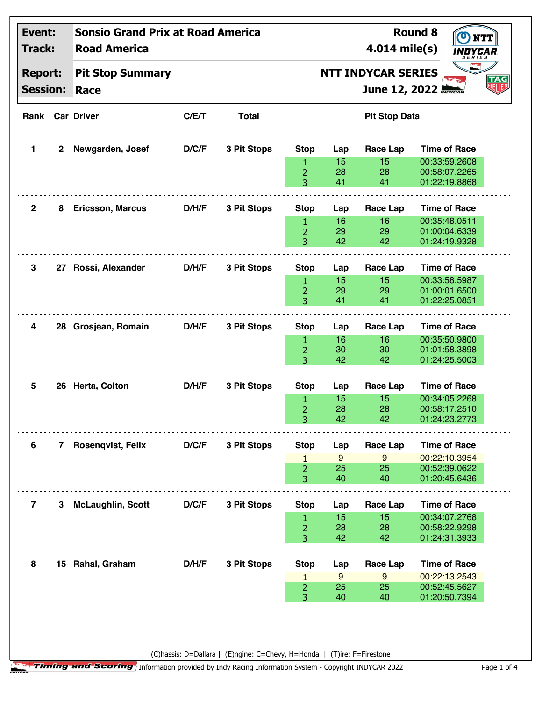| Event:                                      |              | <b>Sonsio Grand Prix at Road America</b> |       |              |                     |                                  |                      | <b>Round 8</b><br><b>NTT</b>      |  |  |
|---------------------------------------------|--------------|------------------------------------------|-------|--------------|---------------------|----------------------------------|----------------------|-----------------------------------|--|--|
| Track:<br><b>Report:</b><br><b>Session:</b> |              | <b>Road America</b>                      |       |              |                     | 4.014 mile(s)                    | INDYCAR<br>SERIES    |                                   |  |  |
|                                             |              | <b>Pit Stop Summary</b><br>Race          |       |              |                     | <b>NTT INDYCAR SERIES</b><br>TAG |                      |                                   |  |  |
|                                             |              |                                          |       |              |                     |                                  |                      | 明明<br><b>June 12, 2022 MOYCAR</b> |  |  |
|                                             |              | <b>Rank Car Driver</b>                   | C/E/T | <b>Total</b> |                     |                                  | <b>Pit Stop Data</b> |                                   |  |  |
| 1                                           | $\mathbf{2}$ | Newgarden, Josef                         | D/C/F | 3 Pit Stops  | <b>Stop</b>         | Lap                              | Race Lap             | <b>Time of Race</b>               |  |  |
|                                             |              |                                          |       |              | 1                   | 15                               | 15                   | 00:33:59.2608                     |  |  |
|                                             |              |                                          |       |              | $\overline{2}$      | 28                               | 28                   | 00:58:07.2265                     |  |  |
|                                             |              |                                          |       |              | 3                   | 41                               | 41                   | 01:22:19.8868                     |  |  |
| $\mathbf{2}$                                | 8            | <b>Ericsson, Marcus</b>                  | D/H/F | 3 Pit Stops  | <b>Stop</b>         | Lap                              | Race Lap             | <b>Time of Race</b>               |  |  |
|                                             |              |                                          |       |              | $\mathbf{1}$        | 16                               | 16                   | 00:35:48.0511                     |  |  |
|                                             |              |                                          |       |              | $\overline{2}$      | 29                               | 29                   | 01:00:04.6339                     |  |  |
|                                             |              |                                          |       |              | 3                   | 42                               | 42                   | 01:24:19.9328                     |  |  |
| 3                                           |              | 27 Rossi, Alexander                      | D/H/F | 3 Pit Stops  | <b>Stop</b>         | Lap                              | Race Lap             | <b>Time of Race</b>               |  |  |
|                                             |              |                                          |       |              |                     | 15                               | 15                   | 00:33:58.5987                     |  |  |
|                                             |              |                                          |       |              | 1<br>$\overline{2}$ | 29                               | 29                   | 01:00:01.6500                     |  |  |
|                                             |              |                                          |       |              | 3                   | 41                               | 41                   | 01:22:25.0851                     |  |  |
|                                             |              |                                          | D/H/F | 3 Pit Stops  |                     |                                  |                      | <b>Time of Race</b>               |  |  |
| 4                                           | 28           | Grosjean, Romain                         |       |              | <b>Stop</b>         | Lap                              | Race Lap             |                                   |  |  |
|                                             |              |                                          |       |              | 1                   | 16<br>30                         | 16<br>30             | 00:35:50.9800<br>01:01:58.3898    |  |  |
|                                             |              |                                          |       |              | $\overline{2}$<br>3 | 42                               | 42                   | 01:24:25.5003                     |  |  |
|                                             |              |                                          |       |              |                     |                                  |                      |                                   |  |  |
| 5                                           |              | 26 Herta, Colton                         | D/H/F | 3 Pit Stops  | <b>Stop</b>         | Lap                              | Race Lap             | <b>Time of Race</b>               |  |  |
|                                             |              |                                          |       |              | 1                   | 15                               | 15                   | 00:34:05.2268                     |  |  |
|                                             |              |                                          |       |              | $\overline{2}$<br>3 | 28<br>42                         | 28<br>42             | 00:58:17.2510<br>01:24:23.2773    |  |  |
|                                             |              |                                          |       |              |                     |                                  |                      |                                   |  |  |
| 6                                           | $7^{\circ}$  | Rosenqvist, Felix                        | D/C/F | 3 Pit Stops  | <b>Stop</b>         | Lap                              | <b>Race Lap</b>      | <b>Time of Race</b>               |  |  |
|                                             |              |                                          |       |              | 1                   | 9                                | 9                    | 00:22:10.3954                     |  |  |
|                                             |              |                                          |       |              | 2                   | 25                               | 25                   | 00:52:39.0622                     |  |  |
|                                             |              |                                          |       |              | 3                   | 40                               | 40                   | 01:20:45.6436                     |  |  |
| 7                                           | 3            | <b>McLaughlin, Scott</b>                 | D/C/F | 3 Pit Stops  | <b>Stop</b>         | Lap                              | Race Lap             | <b>Time of Race</b>               |  |  |
|                                             |              |                                          |       |              | $\mathbf{1}$        | 15                               | 15                   | 00:34:07.2768                     |  |  |
|                                             |              |                                          |       |              | $\overline{2}$      | 28                               | 28                   | 00:58:22.9298                     |  |  |
|                                             |              |                                          |       |              | 3                   | 42                               | 42                   | 01:24:31.3933                     |  |  |
|                                             |              | 15 Rahal, Graham                         | D/H/F | 3 Pit Stops  | <b>Stop</b>         | Lap                              | Race Lap             | <b>Time of Race</b>               |  |  |
| 8                                           |              |                                          |       |              | $\mathbf{1}$        | 9                                | $9\,$                | 00:22:13.2543                     |  |  |
|                                             |              |                                          |       |              |                     |                                  |                      |                                   |  |  |
|                                             |              |                                          |       |              | $\overline{2}$      | 25                               | 25                   | 00:52:45.5627                     |  |  |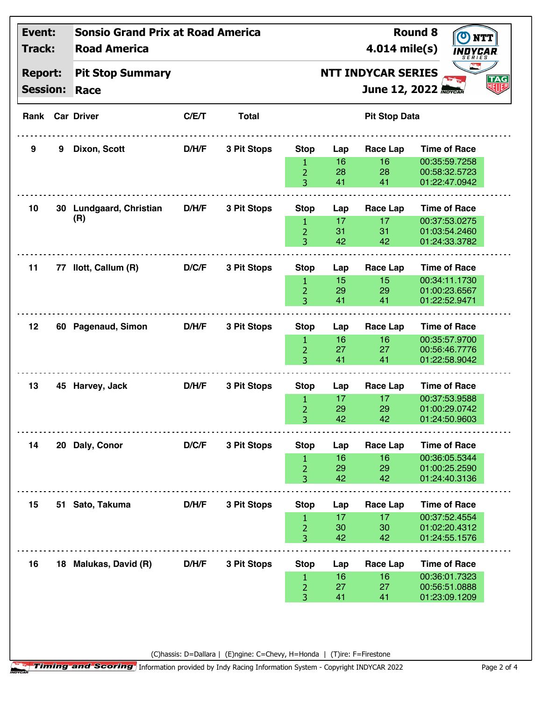| Event:                   |   | <b>Sonsio Grand Prix at Road America</b> |       |              |                                |                                  |                       | <b>Round 8</b>                       |    |
|--------------------------|---|------------------------------------------|-------|--------------|--------------------------------|----------------------------------|-----------------------|--------------------------------------|----|
| Track:<br><b>Report:</b> |   | <b>Road America</b>                      |       |              |                                | 4.014 mile(s)                    | INDYCAR<br>SERIES     |                                      |    |
|                          |   | <b>Pit Stop Summary</b>                  |       |              |                                | <b>NTT INDYCAR SERIES</b><br>TAG |                       |                                      |    |
| <b>Session:</b>          |   | Race                                     |       |              |                                |                                  |                       | <b>June 12, 2022 MOYCAR</b>          | 狐狸 |
|                          |   | <b>Rank Car Driver</b>                   | C/E/T | <b>Total</b> |                                |                                  | <b>Pit Stop Data</b>  |                                      |    |
| 9                        | 9 | Dixon, Scott                             | D/H/F | 3 Pit Stops  | <b>Stop</b>                    | Lap                              | <b>Race Lap</b>       | <b>Time of Race</b>                  |    |
|                          |   |                                          |       |              | 1                              | 16                               | 16                    | 00:35:59.7258                        |    |
|                          |   |                                          |       |              | $\overline{2}$                 | 28                               | 28                    | 00:58:32.5723                        |    |
|                          |   |                                          |       |              | 3                              | 41                               | 41                    | 01:22:47.0942                        |    |
| 10                       |   | 30 Lundgaard, Christian                  | D/H/F | 3 Pit Stops  | <b>Stop</b>                    | Lap                              | Race Lap              | <b>Time of Race</b>                  |    |
|                          |   | (R)                                      |       |              | $\mathbf{1}$                   | 17                               | 17                    | 00:37:53.0275                        |    |
|                          |   |                                          |       |              | $\overline{2}$                 | 31                               | 31                    | 01:03:54.2460                        |    |
|                          |   |                                          |       |              | 3                              | 42                               | 42                    | 01:24:33.3782                        |    |
| 11                       |   | 77 Ilott, Callum (R)                     | D/C/F | 3 Pit Stops  | <b>Stop</b>                    | Lap                              | Race Lap              | <b>Time of Race</b>                  |    |
|                          |   |                                          |       |              | $\mathbf{1}$                   | 15                               | 15                    | 00:34:11.1730                        |    |
|                          |   |                                          |       |              | $\overline{2}$                 | 29                               | 29                    | 01:00:23.6567                        |    |
|                          |   |                                          |       |              | 3                              | 41                               | 41                    | 01:22:52.9471                        |    |
| 12                       |   | 60 Pagenaud, Simon                       | D/H/F | 3 Pit Stops  | <b>Stop</b>                    | Lap                              | Race Lap              | <b>Time of Race</b>                  |    |
|                          |   |                                          |       |              | $\mathbf{1}$                   | 16                               | 16                    | 00:35:57.9700                        |    |
|                          |   |                                          |       |              | $\overline{2}$                 | 27                               | 27                    | 00:56:46.7776                        |    |
|                          |   |                                          |       |              | 3                              | 41                               | 41                    | 01:22:58.9042                        |    |
| 13                       |   | 45 Harvey, Jack                          | D/H/F | 3 Pit Stops  | <b>Stop</b>                    | Lap                              | <b>Race Lap</b>       | <b>Time of Race</b>                  |    |
|                          |   |                                          |       |              | 1                              | 17                               | 17                    | 00:37:53.9588                        |    |
|                          |   |                                          |       |              | $\overline{2}$                 | 29                               | 29                    | 01:00:29.0742                        |    |
|                          |   |                                          |       |              | 3                              | 42                               | 42                    | 01:24:50.9603                        |    |
|                          |   |                                          |       |              |                                |                                  |                       |                                      |    |
| 14                       |   | 20 Daly, Conor                           | D/C/F | 3 Pit Stops  | <b>Stop</b>                    | Lap                              | Race Lap              | <b>Time of Race</b>                  |    |
|                          |   |                                          |       |              | $\mathbf{1}$<br>$\overline{2}$ | 16<br>29                         | 16<br>29              | 00:36:05.5344<br>01:00:25.2590       |    |
|                          |   |                                          |       |              | 3                              | 42                               | 42                    | 01:24:40.3136                        |    |
| 15                       |   | 51 Sato, Takuma                          | D/H/F | 3 Pit Stops  | <b>Stop</b>                    | Lap                              | <b>Race Lap</b>       | <b>Time of Race</b>                  |    |
|                          |   |                                          |       |              | $\mathbf{1}$                   | 17                               | 17                    | 00:37:52.4554                        |    |
|                          |   |                                          |       |              | 2                              | 30                               | 30                    | 01:02:20.4312                        |    |
|                          |   |                                          |       |              | 3                              | 42                               | 42                    | 01:24:55.1576                        |    |
|                          |   |                                          |       |              |                                |                                  |                       |                                      |    |
| 16                       |   | 18 Malukas, David (R)                    | D/H/F | 3 Pit Stops  | <b>Stop</b>                    | Lap<br>16                        | <b>Race Lap</b><br>16 | <b>Time of Race</b><br>00:36:01.7323 |    |
|                          |   |                                          |       |              | $\mathbf{1}$<br>$\overline{c}$ | 27                               | 27                    | 00:56:51.0888                        |    |
|                          |   |                                          |       |              | 3                              | 41                               | 41                    | 01:23:09.1209                        |    |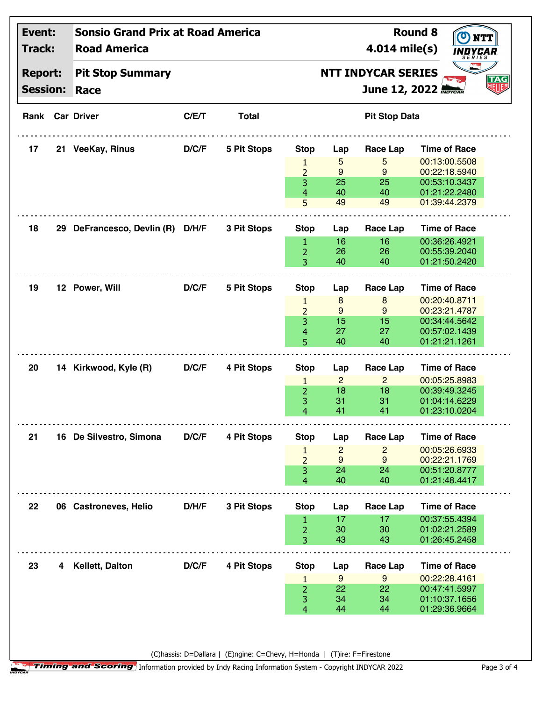| Event:<br>Track:<br><b>Report:</b><br><b>Session:</b> |    | <b>Sonsio Grand Prix at Road America</b><br><b>Road America</b><br>4.014 mile(s) |       |                    |                     |                                                                                                  |                      | <b>Round 8</b><br>INDYCAR.     | NTT |
|-------------------------------------------------------|----|----------------------------------------------------------------------------------|-------|--------------------|---------------------|--------------------------------------------------------------------------------------------------|----------------------|--------------------------------|-----|
|                                                       |    | <b>Pit Stop Summary</b><br>Race                                                  |       |                    |                     | <b>SERIES</b><br><b>NTT INDYCAR SERIES</b><br><b>TAG</b><br><b>RETTE</b><br>June 12, 2022 MOYCAR |                      |                                |     |
|                                                       |    | <b>Rank Car Driver</b>                                                           | C/E/T | <b>Total</b>       |                     |                                                                                                  | <b>Pit Stop Data</b> |                                |     |
| 17                                                    |    | 21 VeeKay, Rinus                                                                 | D/C/F | <b>5 Pit Stops</b> | <b>Stop</b>         | Lap                                                                                              | Race Lap             | <b>Time of Race</b>            |     |
|                                                       |    |                                                                                  |       |                    | 1                   | 5                                                                                                | 5<br>9               | 00:13:00.5508<br>00:22:18.5940 |     |
|                                                       |    |                                                                                  |       |                    | $\overline{2}$<br>3 | 9<br>25                                                                                          | 25                   | 00:53:10.3437                  |     |
|                                                       |    |                                                                                  |       |                    | 4                   | 40                                                                                               | 40                   | 01:21:22.2480                  |     |
|                                                       |    |                                                                                  |       |                    | 5                   | 49                                                                                               | 49                   | 01:39:44.2379                  |     |
| 18                                                    | 29 | DeFrancesco, Devlin (R) D/H/F                                                    |       | 3 Pit Stops        | <b>Stop</b>         | Lap                                                                                              | Race Lap             | <b>Time of Race</b>            |     |
|                                                       |    |                                                                                  |       |                    | 1                   | 16                                                                                               | 16                   | 00:36:26.4921                  |     |
|                                                       |    |                                                                                  |       |                    | $\overline{2}$      | 26                                                                                               | 26                   | 00:55:39.2040                  |     |
|                                                       |    |                                                                                  |       |                    | 3                   | 40                                                                                               | 40                   | 01:21:50.2420                  |     |
| 19                                                    |    | 12 Power, Will                                                                   | D/C/F | 5 Pit Stops        | <b>Stop</b>         | Lap                                                                                              | Race Lap             | <b>Time of Race</b>            |     |
|                                                       |    |                                                                                  |       |                    | 1                   | 8                                                                                                | 8                    | 00:20:40.8711                  |     |
|                                                       |    |                                                                                  |       |                    | $\overline{2}$      | 9                                                                                                | 9                    | 00:23:21.4787                  |     |
|                                                       |    |                                                                                  |       |                    | 3                   | 15                                                                                               | 15                   | 00:34:44.5642                  |     |
|                                                       |    |                                                                                  |       |                    | 4                   | 27                                                                                               | 27                   | 00:57:02.1439                  |     |
|                                                       |    |                                                                                  |       |                    | 5                   | 40                                                                                               | 40                   | 01:21:21.1261                  |     |
| 20                                                    |    | 14 Kirkwood, Kyle (R)                                                            | D/C/F | 4 Pit Stops        | <b>Stop</b>         | Lap                                                                                              | <b>Race Lap</b>      | <b>Time of Race</b>            |     |
|                                                       |    |                                                                                  |       |                    | $\mathbf{1}$        | $\overline{2}$                                                                                   | $\overline{2}$       | 00:05:25.8983                  |     |
|                                                       |    |                                                                                  |       |                    | $\overline{2}$      | 18                                                                                               | 18                   | 00:39:49.3245                  |     |
|                                                       |    |                                                                                  |       |                    | 3                   | 31                                                                                               | 31                   | 01:04:14.6229                  |     |
|                                                       |    |                                                                                  |       |                    | 4                   | 41                                                                                               | 41                   | 01:23:10.0204                  |     |
| 21                                                    |    | 16 De Silvestro, Simona                                                          | D/C/F | 4 Pit Stops        | <b>Stop</b>         | Lap                                                                                              | Race Lap             | <b>Time of Race</b>            |     |
|                                                       |    |                                                                                  |       |                    | $\mathbf{1}$        | $\overline{c}$                                                                                   | $\overline{c}$       | 00:05:26.6933                  |     |
|                                                       |    |                                                                                  |       |                    | $\overline{2}$      | 9                                                                                                | 9                    | 00:22:21.1769                  |     |
|                                                       |    |                                                                                  |       |                    | 3                   | 24                                                                                               | 24                   | 00:51:20.8777                  |     |
|                                                       |    |                                                                                  |       |                    | 4                   | 40                                                                                               | 40                   | 01:21:48.4417                  |     |
| 22                                                    |    | 06 Castroneves, Helio                                                            | D/H/F | 3 Pit Stops        | <b>Stop</b>         | Lap                                                                                              | Race Lap             | <b>Time of Race</b>            |     |
|                                                       |    |                                                                                  |       |                    | 1                   | 17                                                                                               | 17                   | 00:37:55.4394                  |     |
|                                                       |    |                                                                                  |       |                    | $\overline{2}$      | 30                                                                                               | 30                   | 01:02:21.2589                  |     |
|                                                       |    |                                                                                  |       |                    | 3                   | 43                                                                                               | 43                   | 01:26:45.2458                  |     |
| 23                                                    |    | 4 Kellett, Dalton                                                                | D/C/F | 4 Pit Stops        | <b>Stop</b>         | Lap                                                                                              | Race Lap             | <b>Time of Race</b>            |     |
|                                                       |    |                                                                                  |       |                    | 1                   | 9                                                                                                | 9                    | 00:22:28.4161                  |     |
|                                                       |    |                                                                                  |       |                    | $\overline{2}$      | 22                                                                                               | 22                   | 00:47:41.5997                  |     |
|                                                       |    |                                                                                  |       |                    | 3                   | 34                                                                                               | 34                   | 01:10:37.1656                  |     |
|                                                       |    |                                                                                  |       |                    | 4                   | 44                                                                                               | 44                   | 01:29:36.9664                  |     |